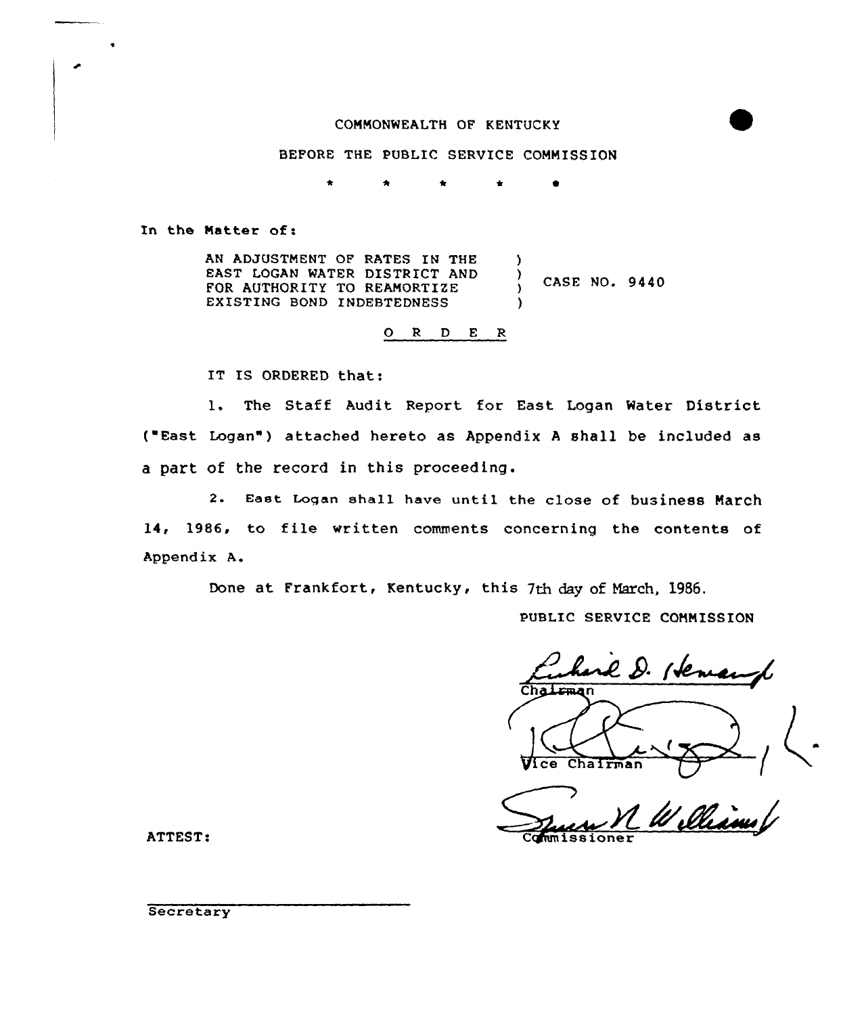# COMMONWEALTH OF KENTUCKY



# BEFORE THE PUBLIC SERVICE COMMISSION

\* \* \* Sr  $\bullet$ 

In the Matter of:

AN ADJUSTMENT OF RATES IN THE EAST LOGAN WATER DISTRICT AND FOR AUTHORITY TO REAMORTIZE EXISTING BOND INDEBTEDNESS ) ) CASE NO. 9440 )

0 <sup>R</sup> <sup>D</sup> <sup>E</sup>

IT IS ORDERED that:

1. The Staff Audit Report for East Logan Water District { East Logan" ) attached hereto as Appendix <sup>A</sup> shall be included as a part ot the record in this proceeding.

2. East Logan shall have until the close of business March 14, 1986, to file written comments concerning the contents of Appendix A.

Done at Frankfort, Kentucky, this 7th day of March, 1986.

PUBLIC SERVICE CONNISSION

arl D. Hen  $\tilde{\mathcal{L}}$ Hice Chairman

ATTEST: Commissioner

**Secretary**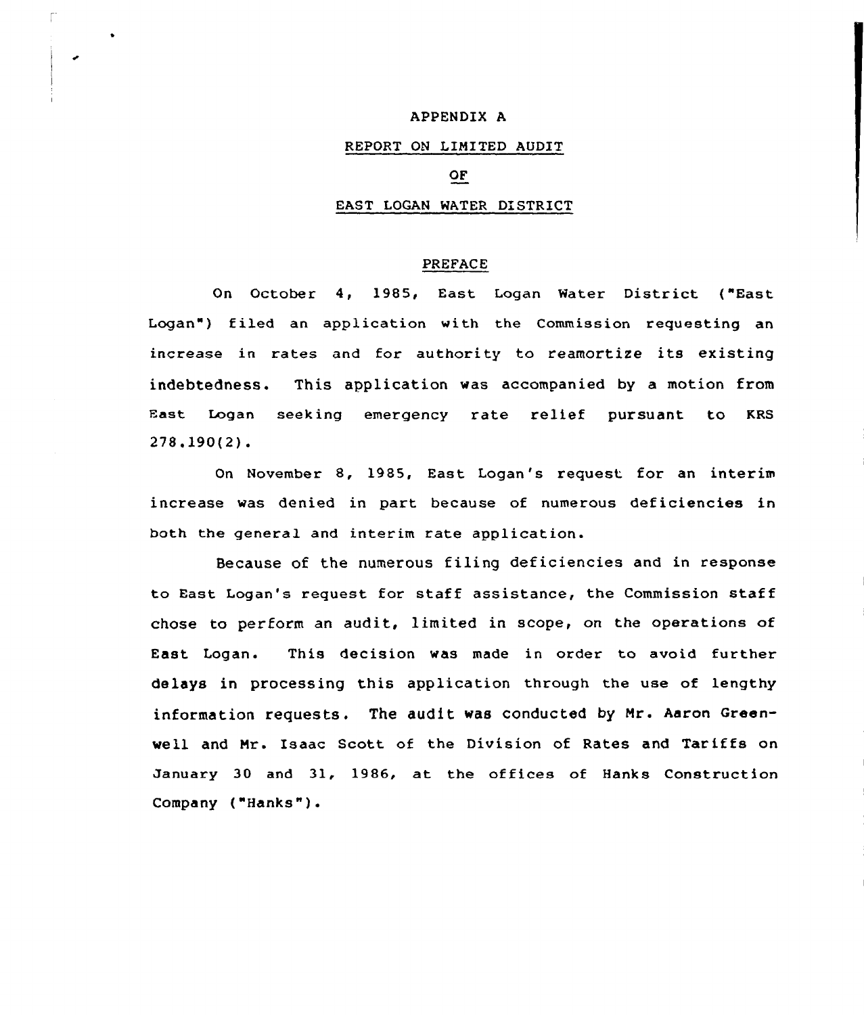# APPENDIX A

# REPORT ON LIMITED AUDIT

# OF

#### EAST LOGAN WATER DISTRICT

### PREFACE

On October 4, 1985, East Logan Water District ("East Logan") filed an application with the Commission requesting an increase in rates and for authority to reamortize its existing indebtedness. This application was accompanied by a motion from East Logan seeking emergency rate relief pursuant to KRS 278.190(2).

On November 8, 1985, East Logan's request for an interim increase was denied in part because of numerous deficiencies in both the general and interim rate application.

Because of the numerous filing deficiencies and in response to East Logan's request for staff assistance, the Commission staff chose to perform an audit, limited in scope, on the operations of East Logan. This decision was made in order to avoid further delays in processing this application through the use of lengthy information requests. The audit was conducted by Mr. Aaron Greenwell and Mr. Isaac Scott of the Division of Rates and Tariffs on January 30 and 31, 1986, at the offices of Hanks Construction Company ("Hanks" ).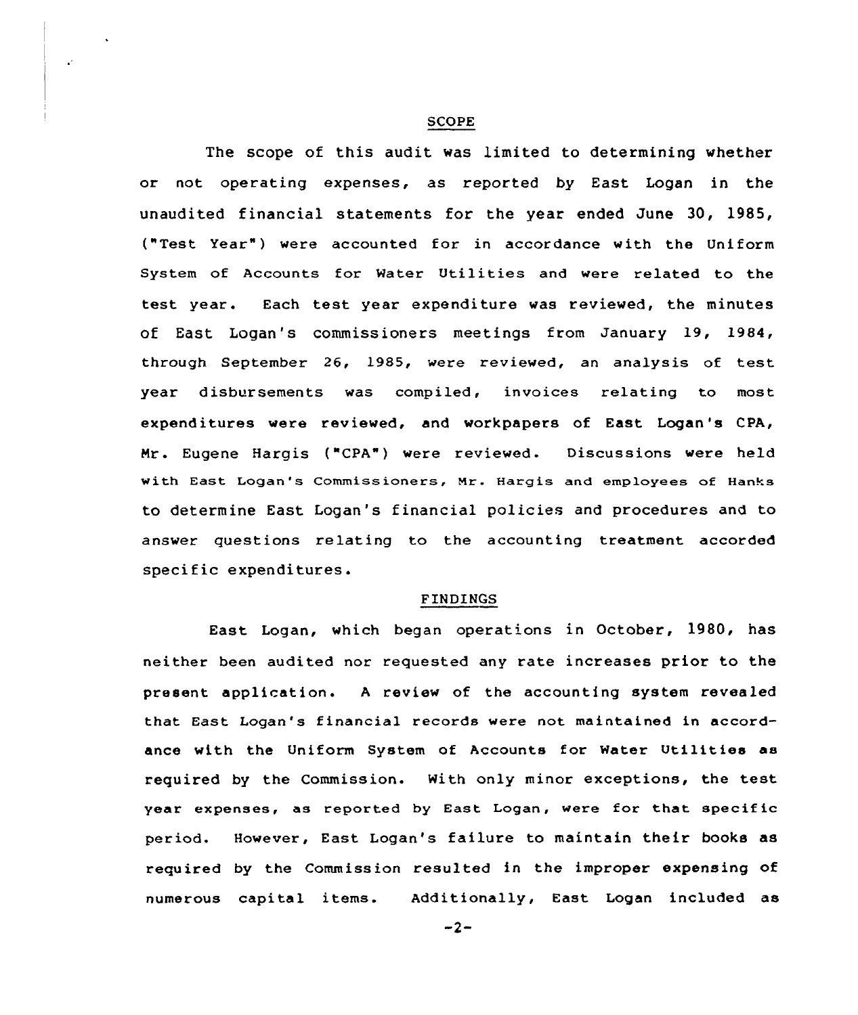#### SCOPE

The scope of this audit was limited to determining whether or not operating expenses, as reported by East Logan in the unaudited financial statements for the year ended June 30, 1985, ("Test Year" ) were accounted for in accordance with the Uniform System of Accounts for Water Utilities and were related to the test year. Each test year expenditure was reviewed, the minutes of East Logan's commissioners meetings from January 19, 1984, through September 26, 1985, were reviewed, an analysis of test year disbursements was compiled, invoices relating to most expenditures were reviewed, and workpapers of East Logan's CPA, Nr. Eugene Hargis ("CPA") were reviewed. Discussions were held with East Logan's Commissioners, Mr. Hargis and employees of Hanks to determine East Logan's financial policies and procedures and to answer questions relating to the accounting treatment accorded specific expenditures.

#### FINDINGS

East Logan, which began operations in October, 1980, has neither been audited nor requested any rate increases prior to the present application. A review of the accounting system revealed that East Logan's financial records were not maintained in accordance with the Uniform System of Accounts for Water Utilities as required by the Commission. With only minor exceptions, the test year expenses, as reported by East Logan, were for that specific period. However, East Logan's failure to maintain their books as required by the Commission resulted in the improper expensing of numerous capital items. Additionally, East Logan included as

 $-2-$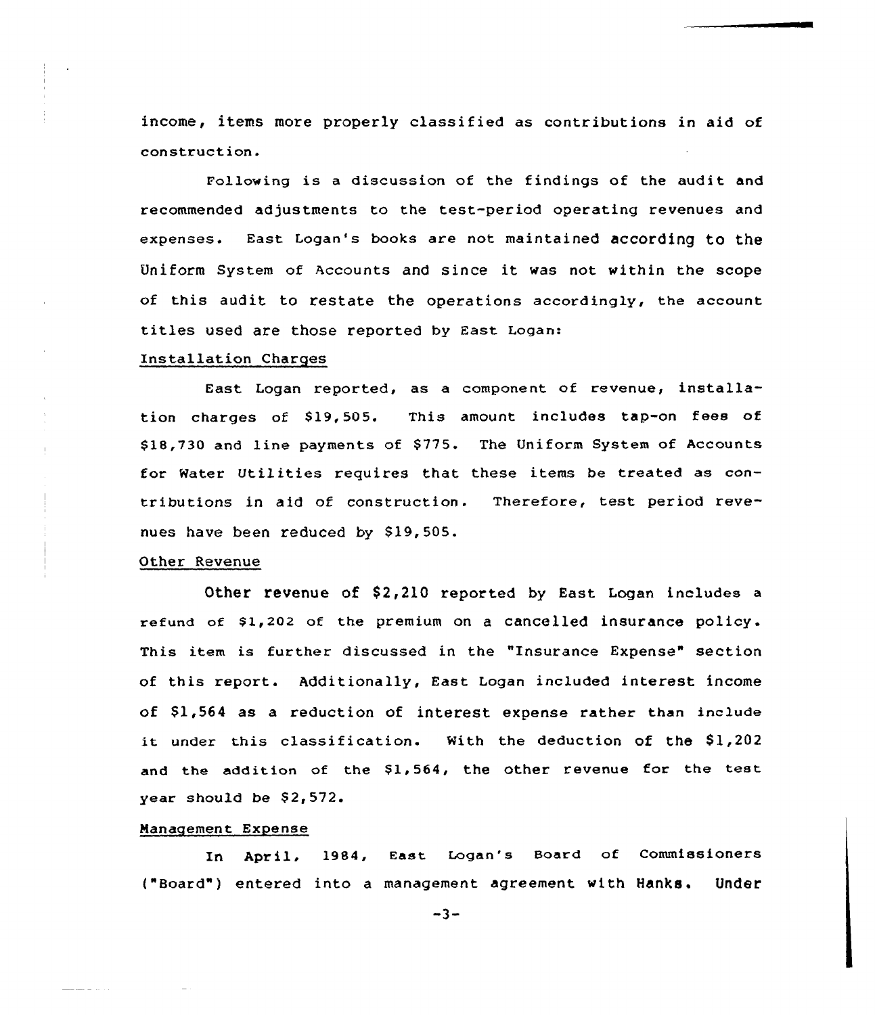income, items more properly classified as contributions in aid of construction.

Following is a discussion of the findings of the audit and recommended adjustments to the test-period operating revenues and expenses. East Logan's books are not maintained according to the Uniform System of Accounts and since it was not within the scope of this audit to restate the operations accordingly, the account titles used are those reported by East Logan:

### Installation Charges

East Logan reported, as a component of revenue, installation charges of S19,505. This amount includes tap-on fees of \$18,730 and line payments of \$775. The Uniform System of Accounts for Water Utilities requires that these items be treated as contributions in aid of construction. Therefore, test period revenues have been reduced by S19,505

### Other Revenue

Other revenue of S2,210 reported by East Logan includes a refund of \$1,202 of the premium on a cancelled insurance policy. This item is further discussed in the "Insurance Expense" section of this report. Additionally, East Logan included interest income of  $$1,564$  as a reduction of interest expense rather than include it under this classification. Mith the deduction of the S1,202 and the addition of the \$1,564, the other revenue for the test year should be  $$2,572.$ 

#### Management Expense

In April, 1984, East Logan's Board of Commissioners ("Board" ) entered into <sup>a</sup> management agreement with Hanks. Under

 $-3-$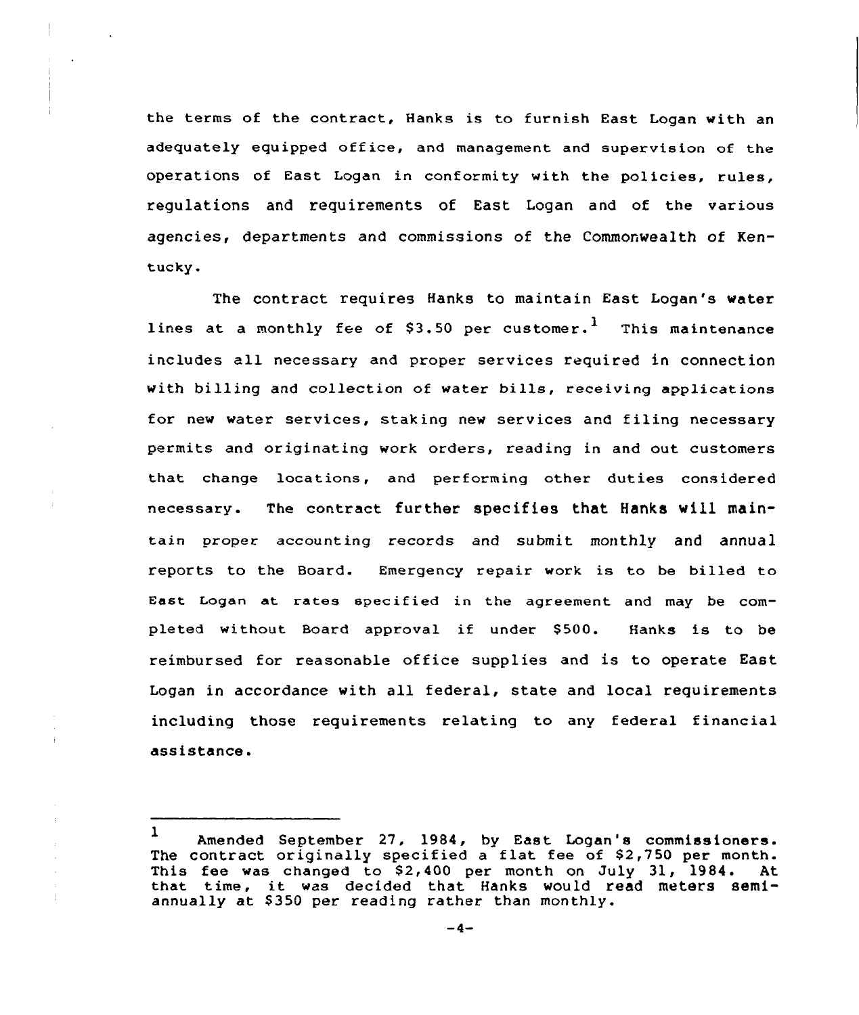the terms of the contract, Hanks is to furnish East Logan with an adequately equipped off ice, and management and supervision of the operations of East Logan in conformity with the policies, rules, regulations and requirements of East Logan and of the various agencies, departments and commissions of the Commonwealth of Kentucky.

The contract requires Hanks to maintain East Logan's water lines at a monthly fee of  $$3.50$  per customer.<sup>1</sup> This maintenance includes all necessary and proper services required in connection with billing and collection of water bills, receiving applications for new water services, staking new services and filing necessary permits and originating work orders, reading in and out customers that change locations, and performing other duties considered necessary. The contract further specifies that Hanks vill maintain proper accounting records and submit monthly and annual reports to the Board. Emergency repair work is to be billed to East Logan at rates specified in the agreement and may be completed without Board approval if under \$500. Hanks is to be reimbursed for reasonable office supplies and is to operate East Logan in accordance with all federal, state and local requirements including those requirements relating to any federal financial assistance.

 $1$  Amended September 27, 1984, by East Logan's commissioners The contract originally specified a flat fee of \$2,750 per month.<br>This fee was changed to \$2,400 per month on July 31, 1984. At This fee was changed to  $$2,400$  per month on July 31, 1984. that time, it was decided that Hanks would read meters semiannually at \$ 350 per reading rather than monthly.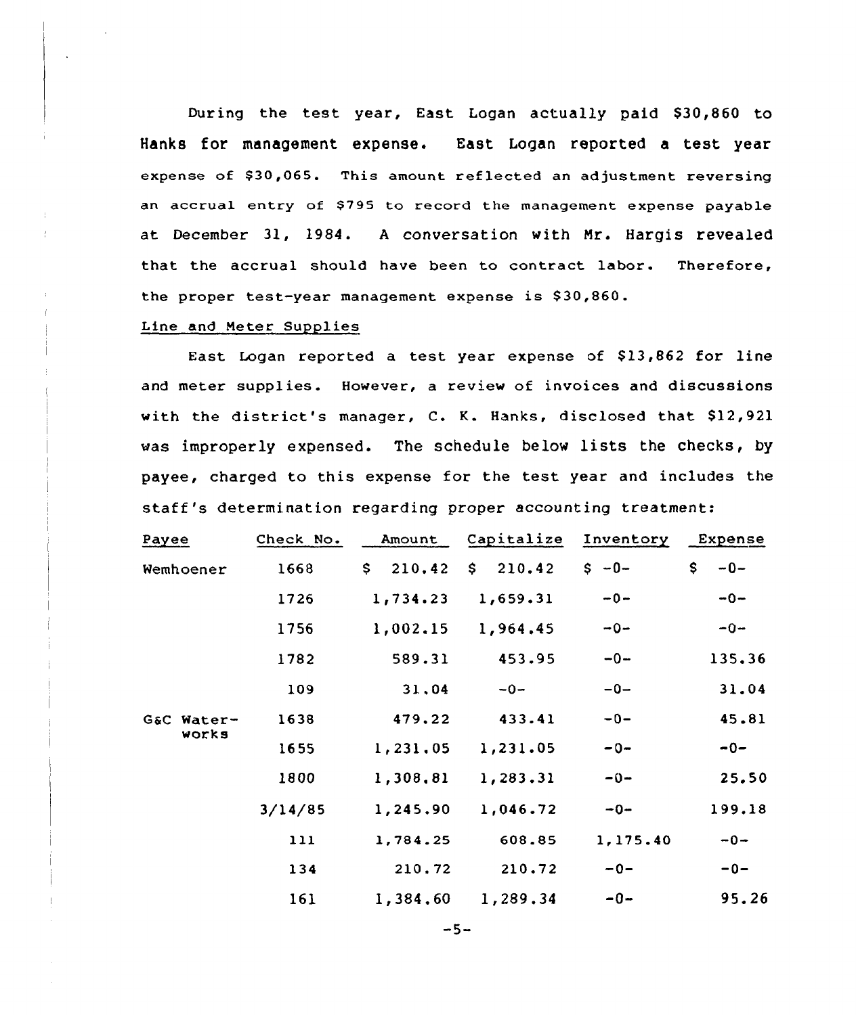Dur ing the test year, East Logan actually paid \$30,860 to Hanks for management expense. East Logan reported a test year expense of \$30,065. This amount reflected an adjustment reversing an accrual entry of SI95 to record the management expense payable at December 31, 1984. <sup>A</sup> conversation with Mr. Hargis revealed that the accrual should have been to contract labor. Therefore, the proper test-year management expense is \$ 30,860.

### Line and Meter Supplies

East Logan reported a test year expense of \$13,862 for line and meter supplies. However, a review of invoices and discussions with the district's manager, C. K. Hanks, disclosed that \$12,921 was improperly expensed. The schedule below lists the checks, by payee, charged to this expense for the test year and includes the staff's determination regarding proper accounting treatment:

| Payee               | Check No. | Amount                 | Capitalize   | Inventory | Expense      |
|---------------------|-----------|------------------------|--------------|-----------|--------------|
| Wemhoener           | 1668      | 210.42<br>$\mathsf{S}$ | \$<br>210.42 | $S - 0 -$ | \$.<br>$-0-$ |
|                     | 1726      | 1,734.23               | 1,659.31     | $-0-$     | $-0-$        |
|                     | 1756      | 1,002.15               | 1,964.45     | $-0-$     | $-0-$        |
|                     | 1782      | 589.31                 | 453.95       | $-0-$     | 135.36       |
|                     | 109       | 31,04                  | $-0-$        | $-0-$     | 31.04        |
| G&C Water-<br>Works | 1638      | 479.22                 | 433.41       | $-0-$     | 45.81        |
|                     | 1655      | 1,231.05               | 1,231.05     | $-0-$     | $-0-$        |
|                     | 1800      | 1,308,81               | 1,283.31     | $-0-$     | 25.50        |
|                     | 3/14/85   | 1,245.90               | 1,046.72     | $-0-$     | 199.18       |
|                     | 111       | 1,784.25               | 608.85       | 1,175.40  | $-0-$        |
|                     | 134       | 210.72                 | 210.72       | $-0-$     | $-0-$        |
|                     | 161       | 1,384,60               | 1,289.34     | $-0-$     | 95.26        |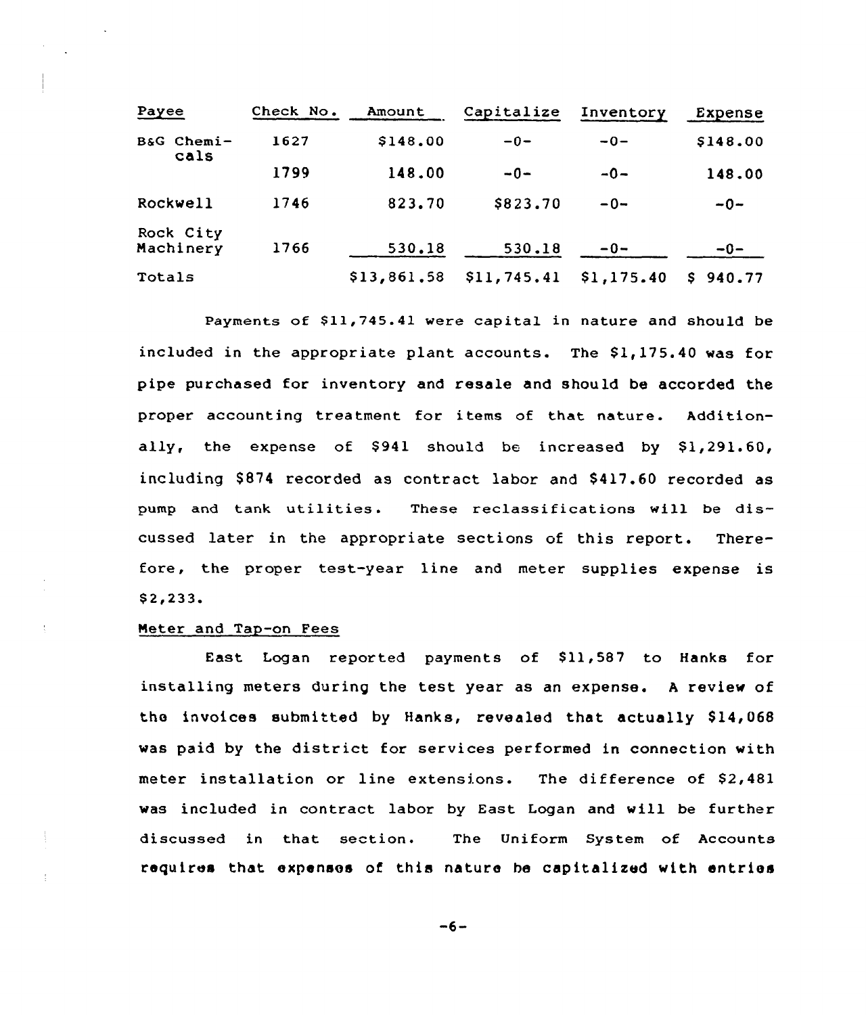| Payee                  | Check No. | Amount      | Capitalize  | Inventory  | Expense  |
|------------------------|-----------|-------------|-------------|------------|----------|
| B&G Chemi-<br>cals     | 1627      | \$148.00    | $-0-$       | $-0-$      | \$148.00 |
|                        | 1799      | 148.00      | $-0-$       | $-0-$      | 148.00   |
| <b>Rockwell</b>        | 1746      | 823.70      | \$823.70    | $-0-$      | $-0-$    |
| Rock City<br>Machinery | 1766      | 530.18      | 530.18      | $-0-$      | $-0-$    |
| Totals                 |           | \$13,861,58 | \$11,745.41 | \$1,175.40 | \$940.77 |

Payments of \$11,745.41 were capital in nature and should be included in the appropriate plant accounts. The \$1,175.40 was for pipe purchased for inventory and resale and should be accorded the proper accounting treatment for items of that nature. Additionally, the expense of  $$941$  should be increased by  $$1,291.60$ , including S874 recorded as contract labor and \$417.60 recorded as pump and tank utilities. These reclassifications will be discussed later in the appropriate sections of this report. Therefore, the proper test-year line and meter supplies expense is \$ 2,233.

# Meter and Tap-on Fees

East Logan reported payments of \$11,587 to Hanks for installing meters during the test year as an expense. <sup>A</sup> review of the invoices submitted by Hanks, revealed that actually \$14,068 was paid by the district for services performed in connection with meter installation or line extensions. The difference of \$2,481 was included in contract labor by East Logan and will be further discussed in that section. The Uniform System of Accounts requires that expenses of this nature he capitalized with entries

 $-6-$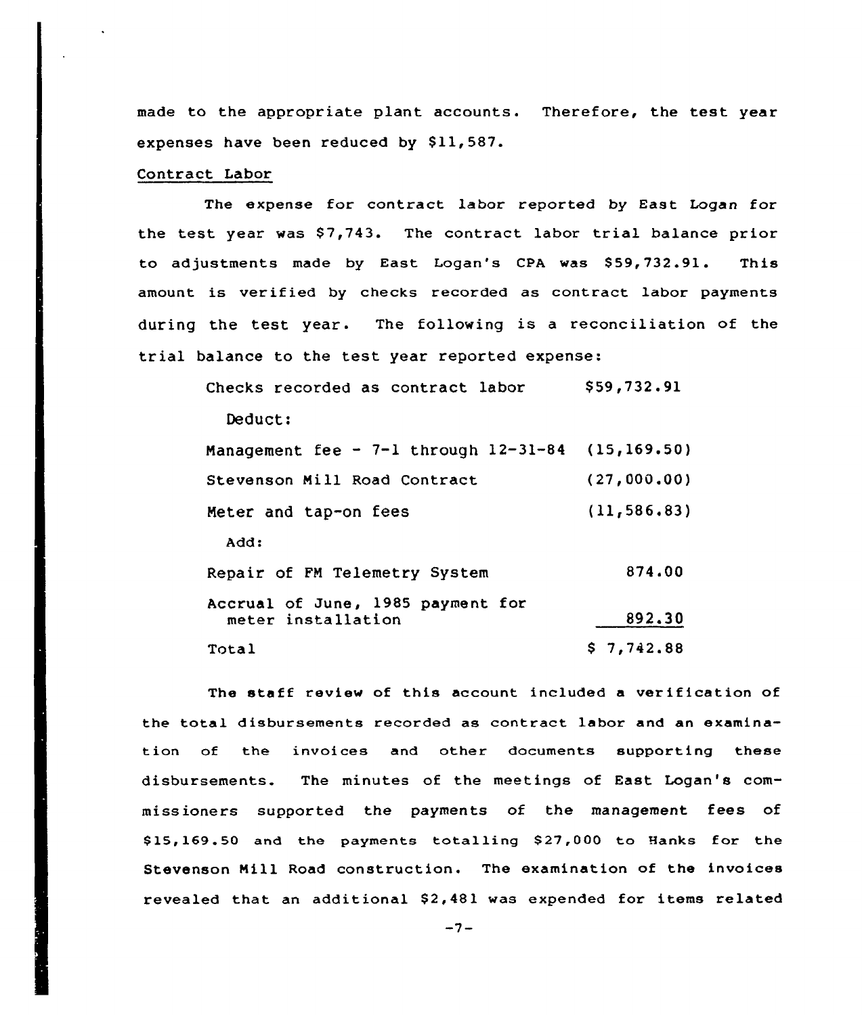made to the appropriate plant accounts. Therefore, the test year expenses have been reduced by \$11,587.

### Contract Labor

The expense for contract labor reported by East Logan for the test year was \$7,743. The contract labor trial balance prior to adjustments made by East Logan's CPA was \$59,732.91. This amount is verified by checks recorded as contract labor payments during the test year. The following is <sup>a</sup> reconciliation of the trial balance to the test year reported expense:

| Checks recorded as contract labor                       | \$59,732.91  |
|---------------------------------------------------------|--------------|
| Deduct:                                                 |              |
| Management fee - 7-1 through $12-31-84$ (15,169.50)     |              |
| Stevenson Mill Road Contract                            | (27,000.00)  |
| Meter and tap-on fees                                   | (11, 586.83) |
| Add:                                                    |              |
| Repair of FM Telemetry System                           | 874.00       |
| Accrual of June, 1985 payment for<br>meter installation | 892.30       |
| Total                                                   | \$7,742.88   |

The staff review of this account included <sup>a</sup> verification of the total disbursements recorded as contract labor and an examination of the invoices and other documents supporting these disbursements. The minutes of the meetings of East Logan's commissioners supported the payments of the management fees of \$ 15,169.50 and the payments totalling \$ 27,000 to Hanks for the Stevenson Nill Road construction. The examination of the invoices revealed that an additional \$2,481 was expended for items related

 $-7-$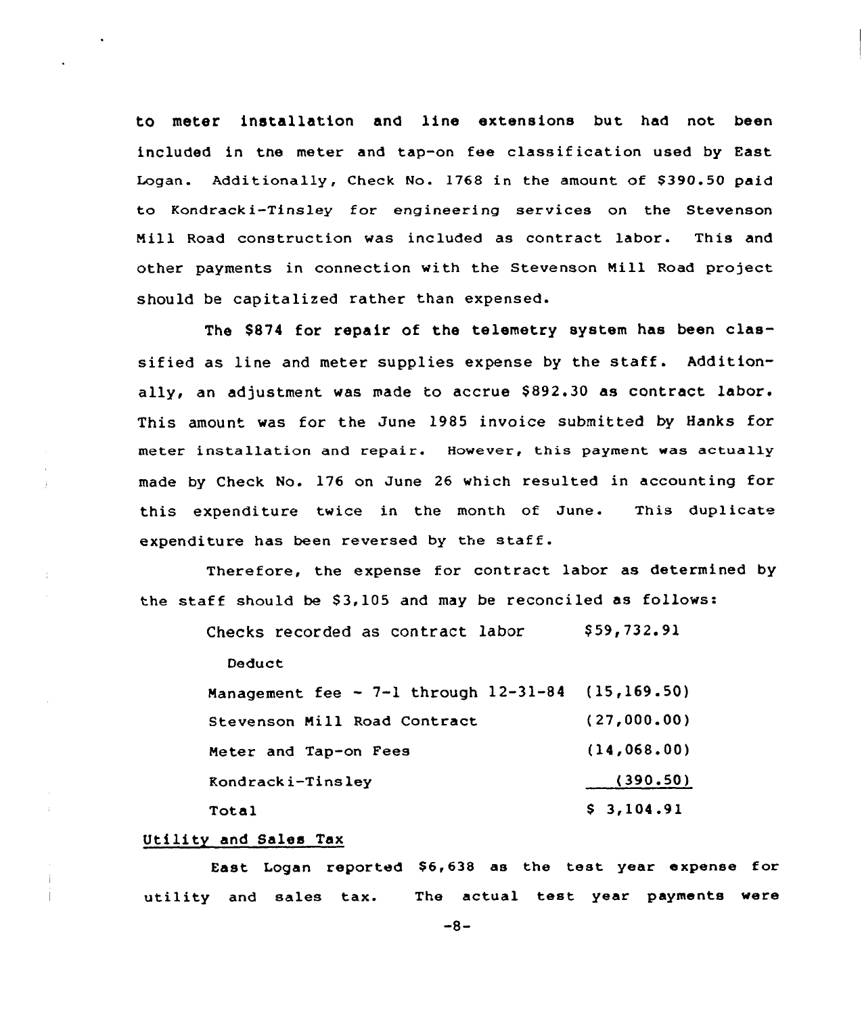to meter installation and line extensions but had not been included in tne meter and tap-on fee classification used by East Logan. Additionally, Check No. 1768 in the amount of \$390.50 paid to Kondracki-Tinsley for engineering services on the Stevenson Nill Road construction was included as contract labor. This and other payments in connection with the Stevenson Nill Road project should be capitalized rather than expensed.

The \$874 for repair of the telemetry system has been classified as line and meter supplies expense by the staff. Additionally, an adjustment was made to accrue \$892.30 as contract labor. This amount was for the June 1985 invoice submitted by Hanks for meter installation and repair. However, this payment was actually made by Check No. 176 on June 26 which resulted in accounting for this expenditure twice in the month of June. This duplicate expenditure has been reversed by the staff.

Therefore, the expense for contract labor as determined by the staff should be  $$3,105$  and may be reconciled as follows:

Checks recorded as contract labor  $$59,732.91$ 

Deduct

| Management fee $\sim$ 7-1 through 12-31-84 (15,169.50) |               |
|--------------------------------------------------------|---------------|
| Stevenson Mill Road Contract                           | (27,000.00)   |
| Meter and Tap-on Fees                                  | (14, 068, 00) |
| Kondracki-Tinsley                                      | (390.50)      |
| Total                                                  | \$3,104.91    |

### Utility and Sales Tax

East Logan reported \$6,638 as the test year expense for utility and sales tax. The actual test year payments were

 $-8-$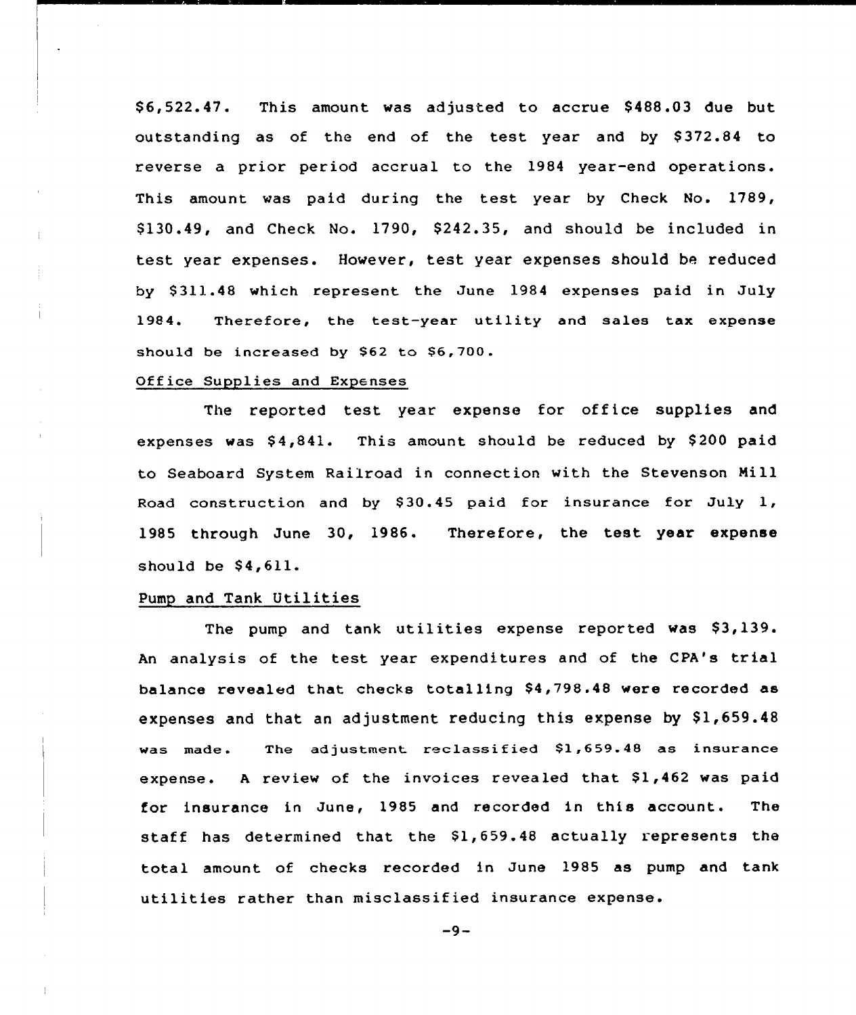\$ 6,522.47. This amount was adjusted to accrue \$ 488.03 due but outstanding as of the end of the test year and by \$372.84 to reverse a prior period accrual to the 1984 year-end operations. This amount was paid during the test year by Check No. 1789, \$ 130.49, and Cheek No. 1790, \$242.35, and should be included in test year expenses. However, test year expenses should be reduced by \$ 311.48 which represent the June 1984 expenses paid in July 1984. Therefore, the test-year utility and sales tax expense should be increased by \$62 to \$6.700.

# Office Supplies and Expenses

The reported test year expense for office supplies and expenses was  $$4,841$ . This amount should be reduced by \$200 paid to Seaboard System Railroad in connection with the Stevenson Mill Road construction and by \$30.45 paid for insurance for July 1, 1985 through June 30, 1986. Therefore, the test year expense should be  $$4,611.$ 

### Pump and Tank Utilities

The pump and tank utilities expense reported was \$3,139. An analysis of the test year expenditures and of the CPA's trial balance revealed that checks totalling \$4,798.48 were recorded as expenses and that an adjustment reducing this expense by  $$1,659.48$ was made. The adjustment reclassified \$1,659.48 as insurance expense. A review of the invoices revealed that \$1,462 was paid for insurance in June, 1985 and recorded in this account. The staff has determined that the \$1,659.48 actually represents the total amount of checks recorded in June 1985 as pump and tank utilities rather than misclassified insurance expense.

 $-9-$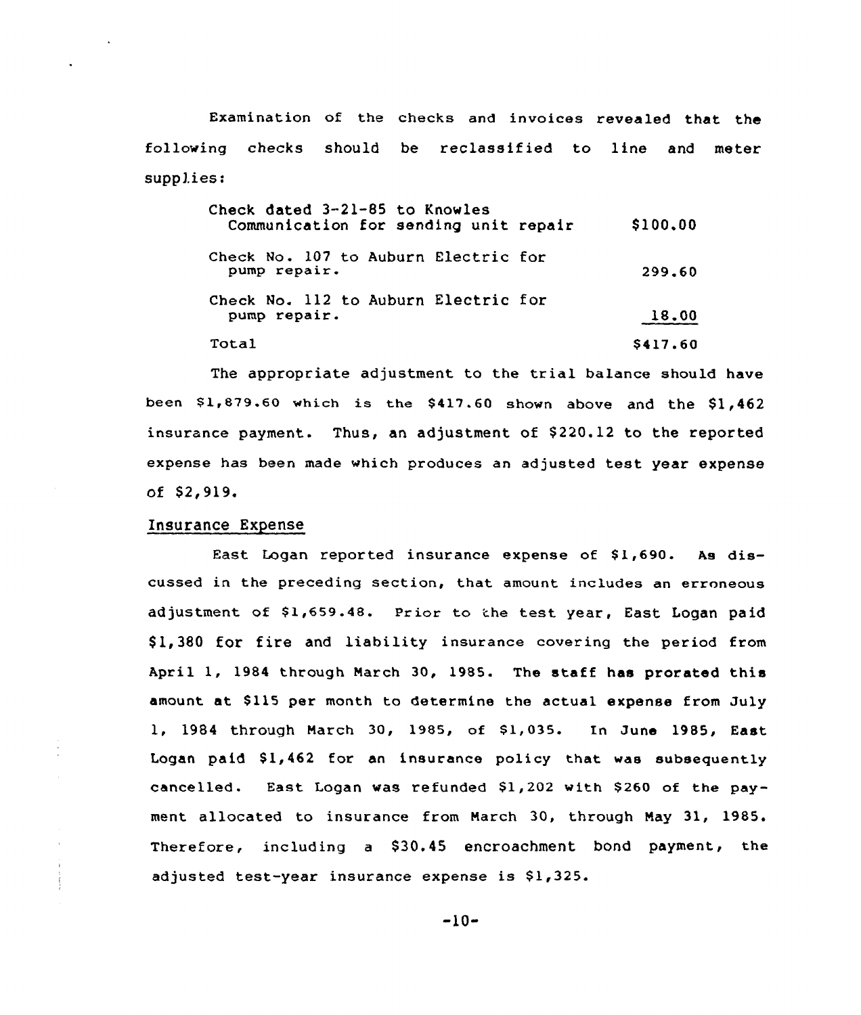Examination of the checks and invoices revealed that the following checks should be reclassified to line and meter supplies:

| Check dated 3-21-85 to Knowles<br>Communication for sending unit repair | \$100.00 |
|-------------------------------------------------------------------------|----------|
| Check No. 107 to Auburn Electric for<br>pump repair.                    | 299.60   |
| Check No. 112 to Auburn Electric for<br>pump repair.                    | 18.00    |
| Total                                                                   | \$417.60 |

The appropriate adjustment to the trial balance should have been  $$1,879.60$  which is the  $$417.60$  shown above and the  $$1,462$ insurance payment. Thus, an adjustment of \$220.12 to the reported expense has been made which produces an adjusted test year expense of \$2,919.

### Insurance Expense

 $\overline{\mathcal{L}}$ 

East Logan reported insurance expense of \$1,690. As discussed in the preceding section, that amount includes an erroneous adjustment of \$1,659.48. Prior to the test year, East Logan paid \$ 1,380 for fire and liability insurance covering the period from April 1, 1984 through March 30, 1985. The staff has prorated this amount at \$115 per month to determine the actual expense from July 1, 1984 through March 30, 1985, of Sl, 035. In June 1985, East Logan paid  $$1,462$  for an insurance policy that was subsequently cancelled. East Logan was refunded \$1,202 with \$260 of the payment allocated to insurance from March 30, through Nay 31, 1985. Therefore, including a \$30.45 encroachment bond payment, the adjusted test-year insurance expense is \$1,325.

-10-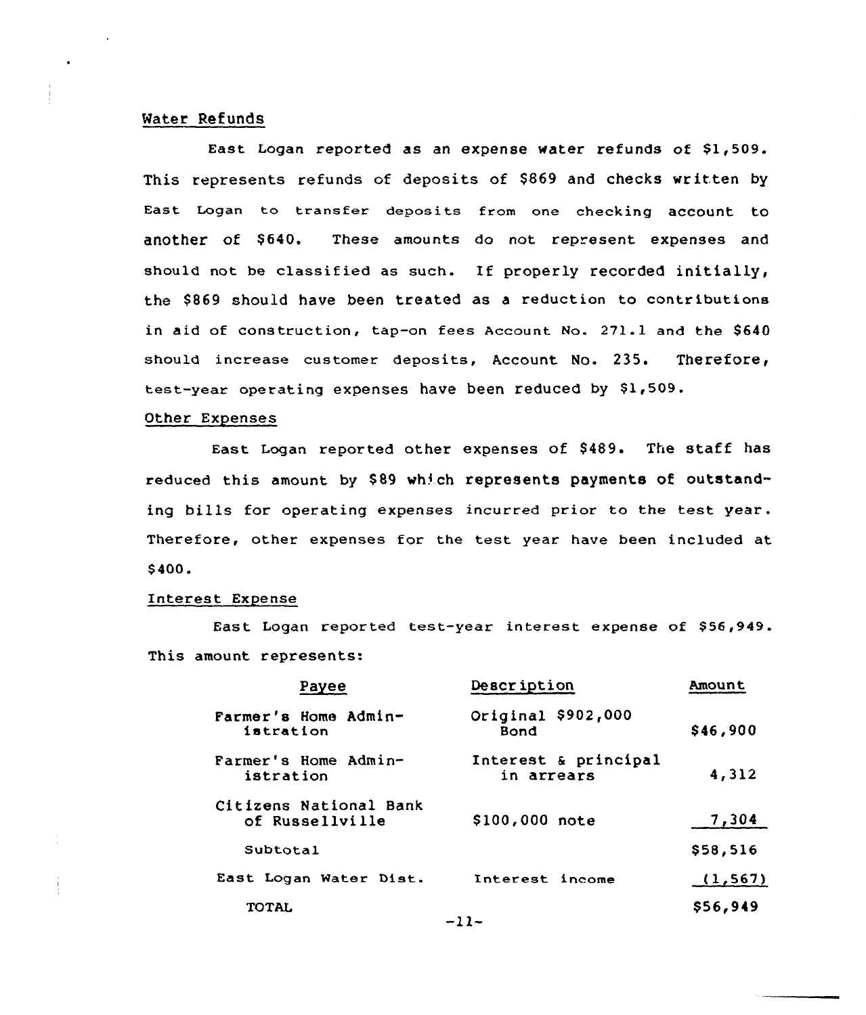### Water Refunds

East Logan reported as an expense water refunds of \$1,509. This represents refunds of deposits of \$869 and checks written by East Logan to transfer deposits from one checking account to another of \$640. These amounts do not represent expenses and should not be classified as such. If properly recorded initially, the \$ 869 should have been treated as a reduction to contributions in aid of construction, tap-on fees Account No. 271.1 and the \$640 should increase customer deposits, Account No. 235. Therefore, test-year operating expenses have been reduced by \$1,509.

#### Other Expenses

East Logan reported other expenses of \$489. The staff has reduced this amount by \$89 which represents payments of outstanding bills for operating expenses incurred prior to the test year. Therefore, other expenses for the test year have been included at \$ 400.

#### Interest Expense

East Logan reported test-year interest expense of \$56,949. This amount represents:

| Payee                                     | Description                        | <b>Amount</b> |
|-------------------------------------------|------------------------------------|---------------|
| Farmer's Home Admin-<br>istration         | Original \$902,000<br>Bond         | \$46,900      |
| Farmer's Home Admin-<br>istration         | Interest & principal<br>in arrears | 4,312         |
| Citizens National Bank<br>of Russellville | \$100,000 note                     | 7,304         |
| Subtotal                                  |                                    | \$58,516      |
| East Logan Water Dist.                    | Interest income                    | (1, 567)      |
| <b>TOTAL</b><br>$-11-$                    |                                    | \$56,949      |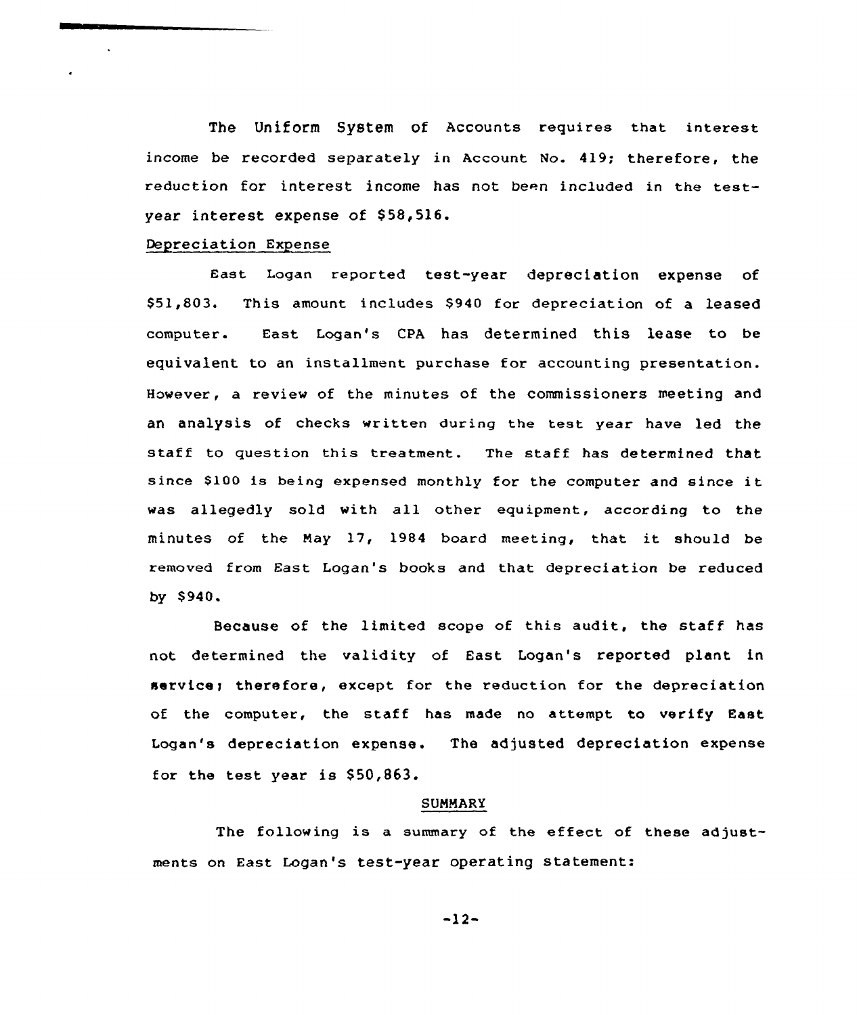The Uniform System of Accounts requires that interest income be recorded separately in Account No. 419; therefore, the reduction for interest income has not been included in the testyear interest expense of \$58,516.

### Depreciation Expense

East Logan reported test-year depreciation expense of \$51,803. This amount includes \$940 for depreciation of a leased computer. East Logan's CPA has determined this lease to be equivalent to an installment purchase for accounting presentation. However, a review of the minutes of the commissioners meeting and an analysis of checks written during the test year have led the staff to question this treatment. The staff has determined that since \$100 is being expensed monthly for the computer and since it was allegedly sold with all other equipment, according to the minutes of the Nay 17, 1984 board meeting, that it should be removed from East Logan's books and that depreciation be reduced by \$ 940.

Because of the limited scope of this audit, the staff has not determined the validity of East Logan's reported plant in service; therefore, except for the reduction for the depreciation of the computer, the staff has made no attempt to verify East Logan's depreciation expense. The adjusted depreciation expense for the test year is \$50,863.

#### SUNNARY

The following is a summary of the effect of these adjustments on East Logan's test-year operating statement:

-12-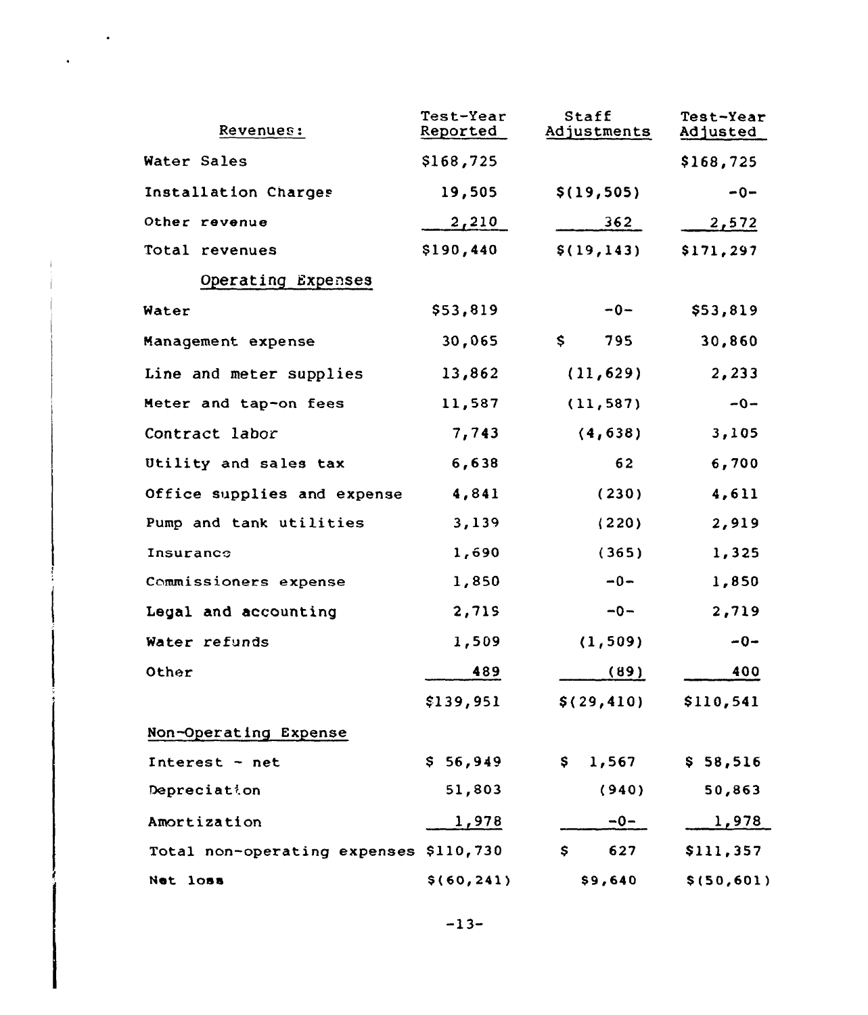| Revenues:                              | Test-Year<br>Reported | Staff<br>Adjustments | Test-Year<br>Adjusted |
|----------------------------------------|-----------------------|----------------------|-----------------------|
| Water Sales                            | \$168,725             |                      | \$168,725             |
| Installation Charges                   | 19,505                | \$(19, 505)          | $-0-$                 |
| Other revenue                          | 2,210                 | 362                  | 2,572                 |
| Total revenues                         | \$190,440             | \$(19, 143)          | \$171,297             |
| Operating Expenses                     |                       |                      |                       |
| Water                                  | \$53,819              | $-0-$                | \$53,819              |
| Management expense                     | 30,065                | \$.<br>795           | 30,860                |
| Line and meter supplies                | 13,862                | (11, 629)            | 2,233                 |
| Meter and tap-on fees                  | 11,587                | (11, 587)            | $-0-$                 |
| Contract labor                         | 7,743                 | (4, 638)             | 3,105                 |
| Utility and sales tax                  | 6,638                 | 62                   | 6,700                 |
| Office supplies and expense            | 4,841                 | (230)                | 4,611                 |
| Pump and tank utilities                | 3,139                 | (220)                | 2,919                 |
| Insurance                              | 1,690                 | (365)                | 1,325                 |
| Commissioners expense                  | 1,850                 | $-0-$                | 1,850                 |
| Legal and accounting                   | 2,719                 | $-0-$                | 2,719                 |
| Water refunds                          | 1,509                 | (1, 509)             | $-0-$                 |
| Other                                  | 489                   | (89)                 | 400                   |
|                                        | \$139,951             | \$(29, 410)          | \$110,541             |
| Non-Operating Expense                  |                       |                      |                       |
| Interest - net                         | \$56,949              | 1,567<br>\$          | \$58,516              |
| Depreciation                           | 51,803                | (940)                | 50,863                |
| Amortization                           | 1,978                 | $-0-$                | <u>1,978</u>          |
| Total non-operating expenses \$110,730 |                       | 627<br>\$            | \$111,357             |
| Net loss                               | \$(60, 241)           | \$9,640              | \$ (50, 601)          |

 $\sim$   $\bullet$ 

 $\hat{\bullet}$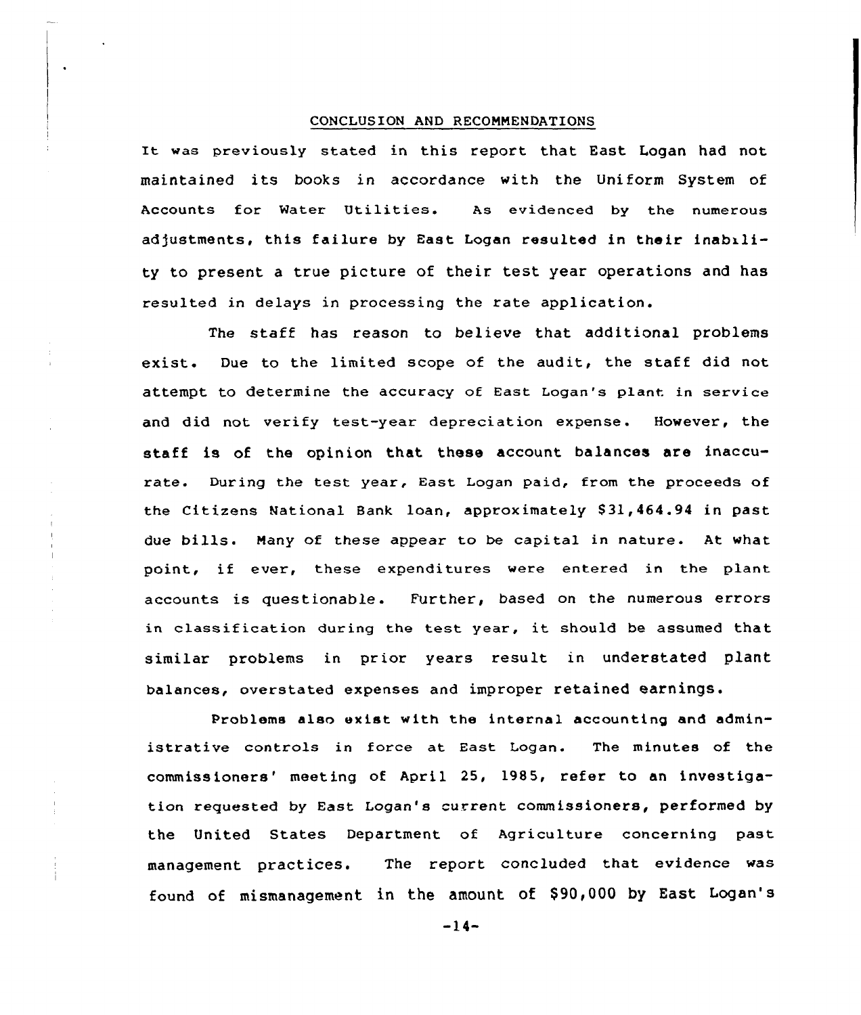#### CONCLUSION AND RECOMMENDATIONS

It was previously stated in this report that East Logan had not maintained its books in accordance with the Uniform System of Accounts for Mater Utilities. As evidenced by the numerous adjustments, this failure by East Logan resulted in their inability to present a true picture of their test year operations and has resulted in delays in processing the rate application.

The staff has reason to believe that additional problems exist. Due to the limited scope of the audit, the staff did not attempt to determine the accuracy of East Logan's plant in service and did not verify test-year depreciation expense. However, the staff is of the opinion that these account balances are inaccurate. During the test year, East Logan paid, from the proceeds of the Citizens National Bank loan, approximately 831,464.94 in past due bills. Many of these appear to be capital in nature. At what point, if ever, these expenditures were entered in the plant accounts is questionable. Further, based on the numerous errors in classification during the test year, it should be assumed that similar problems in prior years result in understated plant balances, overstated expenses and improper retained earnings.

Problems also exist with the internal accounting and administrative controls in force at East Logan. The minutes of the commissioners' meeting of April 25, 1985, refer to an investigation requested by East Logan's current commissioners, performed by the United States Department of Agriculture concerning past management practices. The report concluded that evidence was found of mismanagement in the amount of \$90,000 by East Logan's

 $-14-$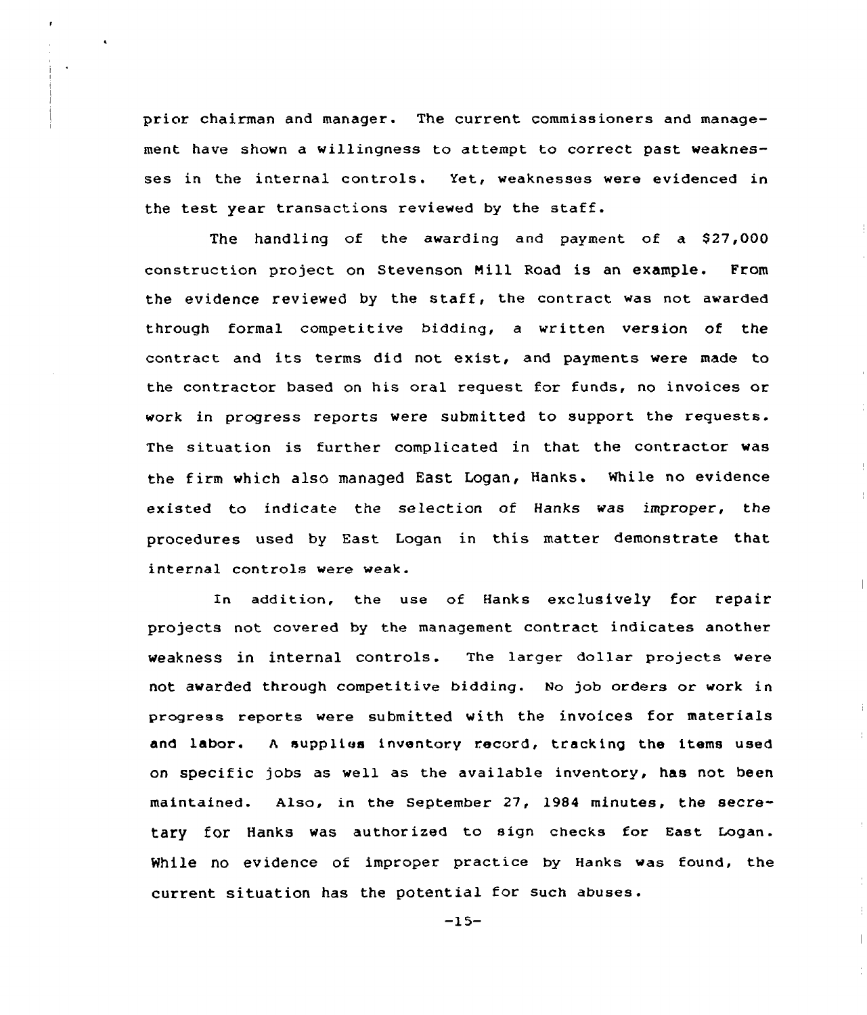prior chairman and manager. The current commissioners and management have shown a willingness to attempt to correct past weaknesses in the internal controls. Yet, weaknesses were evidenced in the test year transactions reviewed by the staff.

The handling of the awarding and payment of a \$27,000 construction project on stevenson Nill Road is an example. From the evidence reviewed by the staff, the contract was not awarded through formal competitive bidding, a written version of the contract and its terms did not exist, and payments were made to the contractor based on his oral request for funds, no invoices or work in progress reports were submitted to support the requests. The situation is furthex complicated in that the contractor was the firm which also managed East Logan, Hanks. While no evidence existed to indicate the selection of Hanks was improper, the procedures used by East Logan in this matter demonstrate that internal controls were weak.

In addition, the use of Hanks exclusively for repair projects not covered by the management contract indicates another weakness in internal controls. The larger dollar projects were not awarded through competitive bidding. No job orders or work in progress reports were submitted with the invoices for materials and labor. A supplies inventory record, tracking the items used on specific jobs as well as the available inventory, has not been maintained. Also, in the September 27, 1984 minutes, the secretary for Hanks was authox ized to sign checks for East Logan. While no evidence of improper practice by Hanks was found, the current situation has the potential for such abuses.

 $-15-$